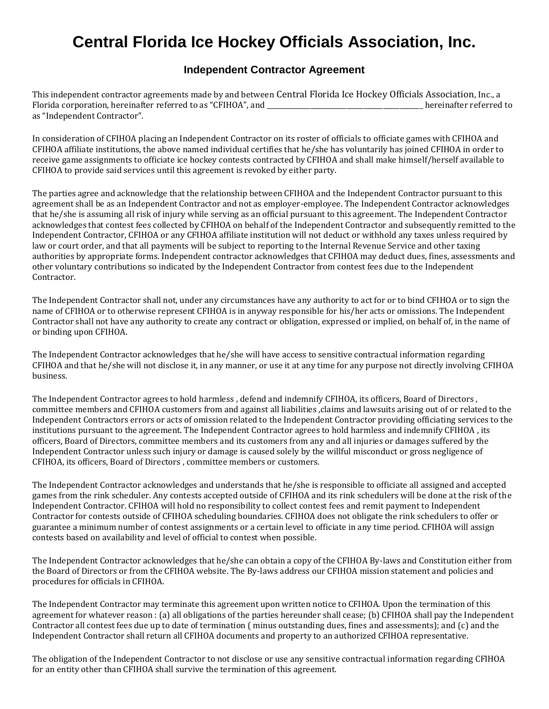## **Central Florida Ice Hockey Officials Association, Inc.**

## **Independent Contractor Agreement**

This independent contractor agreements made by and between Central Florida Ice Hockey Officials Association, Inc., a Florida corporation, hereinafter referred to as "CFIHOA", and \_\_\_\_\_\_\_\_\_\_\_\_\_\_\_\_\_\_\_\_\_\_\_\_\_\_\_\_\_\_\_\_\_\_\_\_\_\_\_\_\_\_\_\_\_\_\_ hereinafter referred to as "Independent Contractor".

In consideration of CFIHOA placing an Independent Contractor on its roster of officials to officiate games with CFIHOA and CFIHOA affiliate institutions, the above named individual certifies that he/she has voluntarily has joined CFIHOA in order to receive game assignments to officiate ice hockey contests contracted by CFIHOA and shall make himself/herself available to CFIHOA to provide said services until this agreement is revoked by either party.

The parties agree and acknowledge that the relationship between CFIHOA and the Independent Contractor pursuant to this agreement shall be as an Independent Contractor and not as employer-employee. The Independent Contractor acknowledges that he/she is assuming all risk of injury while serving as an official pursuant to this agreement. The Independent Contractor acknowledges that contest fees collected by CFIHOA on behalf of the Independent Contractor and subsequently remitted to the Independent Contractor, CFIHOA or any CFIHOA affiliate institution will not deduct or withhold any taxes unless required by law or court order, and that all payments will be subject to reporting to the Internal Revenue Service and other taxing authorities by appropriate forms. Independent contractor acknowledges that CFIHOA may deduct dues, fines, assessments and other voluntary contributions so indicated by the Independent Contractor from contest fees due to the Independent Contractor.

The Independent Contractor shall not, under any circumstances have any authority to act for or to bind CFIHOA or to sign the name of CFIHOA or to otherwise represent CFIHOA is in anyway responsible for his/her acts or omissions. The Independent Contractor shall not have any authority to create any contract or obligation, expressed or implied, on behalf of, in the name of or binding upon CFIHOA.

The Independent Contractor acknowledges that he/she will have access to sensitive contractual information regarding CFIHOA and that he/she will not disclose it, in any manner, or use it at any time for any purpose not directly involving CFIHOA business.

The Independent Contractor agrees to hold harmless , defend and indemnify CFIHOA, its officers, Board of Directors , committee members and CFIHOA customers from and against all liabilities ,claims and lawsuits arising out of or related to the Independent Contractors errors or acts of omission related to the Independent Contractor providing officiating services to the institutions pursuant to the agreement. The Independent Contractor agrees to hold harmless and indemnify CFIHOA , its officers, Board of Directors, committee members and its customers from any and all injuries or damages suffered by the Independent Contractor unless such injury or damage is caused solely by the willful misconduct or gross negligence of CFIHOA, its officers, Board of Directors , committee members or customers.

The Independent Contractor acknowledges and understands that he/she is responsible to officiate all assigned and accepted games from the rink scheduler. Any contests accepted outside of CFIHOA and its rink schedulers will be done at the risk of the Independent Contractor. CFIHOA will hold no responsibility to collect contest fees and remit payment to Independent Contractor for contests outside of CFIHOA scheduling boundaries. CFIHOA does not obligate the rink schedulers to offer or guarantee a minimum number of contest assignments or a certain level to officiate in any time period. CFIHOA will assign contests based on availability and level of official to contest when possible.

The Independent Contractor acknowledges that he/she can obtain a copy of the CFIHOA By-laws and Constitution either from the Board of Directors or from the CFIHOA website. The By-laws address our CFIHOA mission statement and policies and procedures for officials in CFIHOA.

The Independent Contractor may terminate this agreement upon written notice to CFIHOA. Upon the termination of this agreement for whatever reason : (a) all obligations of the parties hereunder shall cease; (b) CFIHOA shall pay the Independent Contractor all contest fees due up to date of termination ( minus outstanding dues, fines and assessments); and (c) and the Independent Contractor shall return all CFIHOA documents and property to an authorized CFIHOA representative.

The obligation of the Independent Contractor to not disclose or use any sensitive contractual information regarding CFIHOA for an entity other than CFIHOA shall survive the termination of this agreement.